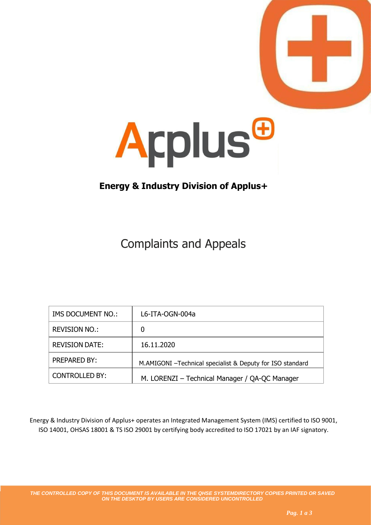



## **Energy & Industry Division of Applus+**

## Complaints and Appeals

| <b>IMS DOCUMENT NO.:</b> | L6-ITA-OGN-004a                                            |
|--------------------------|------------------------------------------------------------|
| REVISION NO.:            | 0                                                          |
| <b>REVISION DATE:</b>    | 16.11.2020                                                 |
| <b>PREPARED BY:</b>      | M.AMIGONI - Technical specialist & Deputy for ISO standard |
| <b>CONTROLLED BY:</b>    | M. LORENZI - Technical Manager / QA-QC Manager             |

Energy & Industry Division of Applus+ operates an Integrated Management System (IMS) certified to ISO 9001, ISO 14001, OHSAS 18001 & TS ISO 29001 by certifying body accredited to ISO 17021 by an IAF signatory.

*THE CONTROLLED COPY OF THIS DOCUMENT IS AVAILABLE IN THE QHSE SYSTEMDIRECTORY COPIES PRINTED OR SAVED ON THE DESKTOP BY USERS ARE CONSIDERED UNCONTROLLED*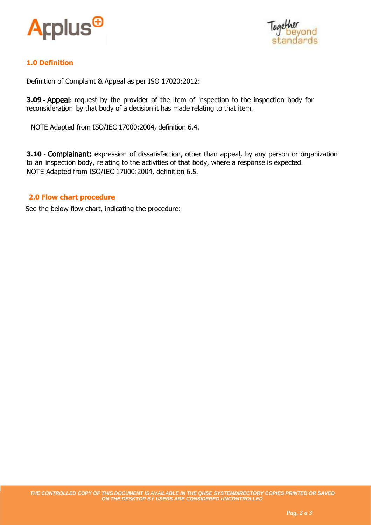



## **1.0 Definition**

Definition of Complaint & Appeal as per ISO 17020:2012:

**3.09 -** Appeal**:** request by the provider of the item of inspection to the inspection body for reconsideration by that body of a decision it has made relating to that item.

NOTE Adapted from ISO/IEC 17000:2004, definition 6.4.

**3.10 -** Complainant: expression of dissatisfaction, other than appeal, by any person or organization to an inspection body, relating to the activities of that body, where a response is expected. NOTE Adapted from ISO/IEC 17000:2004, definition 6.5.

## **2.0 Flow chart procedure**

See the below flow chart, indicating the procedure: